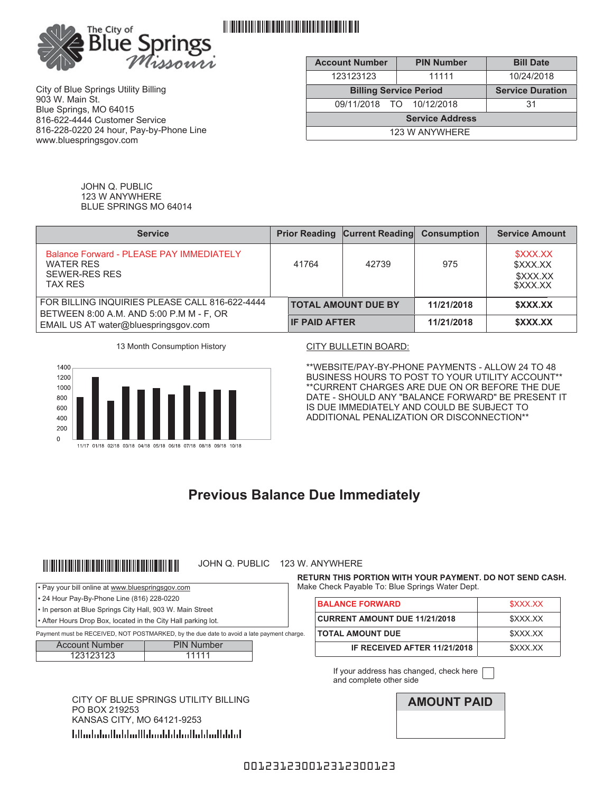

<u> 111 | 111 | 111 | 111 | 111 | 111 | 111 | 111 | 111 | 111 | 111 | 111 | 111 | 111 | 111 | 111 | 111 | 111 | 1</u>

City of Blue Springs Utility Billing 903 W. Main St. Blue Springs, MO 64015 816-622-4444 Customer Service 816-228-0220 24 hour, Pay-by-Phone Line www.bluespringsgov.com

| <b>Account Number</b>         | <b>PIN Number</b>       | <b>Bill Date</b> |  |
|-------------------------------|-------------------------|------------------|--|
| 123123123                     | 11111                   | 10/24/2018       |  |
| <b>Billing Service Period</b> | <b>Service Duration</b> |                  |  |
| 09/11/2018 TO 10/12/2018      |                         | 31               |  |
| <b>Service Address</b>        |                         |                  |  |
| 123 W ANYWHERE                |                         |                  |  |

JOHN Q. PUBLIC 123 W ANYWHERE BLUE SPRINGS MO 64014

| <b>Service</b>                                                                                  |                      | <b>Prior Reading Current Reading Consumption</b> |            | <b>Service Amount</b>                        |
|-------------------------------------------------------------------------------------------------|----------------------|--------------------------------------------------|------------|----------------------------------------------|
| Balance Forward - PLEASE PAY IMMEDIATELY<br><b>WATER RES</b><br>SFWFR-RFS RFS<br><b>TAX RES</b> | 41764                | 42739                                            | 975        | \$XXX.XX<br>\$XXX.XX<br>\$XXX.XX<br>\$XXX.XX |
| FOR BILLING INQUIRIES PLEASE CALL 816-622-4444<br>BETWEEN 8:00 A.M. AND 5:00 P.M M - F, OR      |                      | <b>TOTAL AMOUNT DUE BY</b>                       | 11/21/2018 | \$XXX.XX                                     |
| EMAIL US AT water@bluespringsgov.com                                                            | <b>IF PAID AFTER</b> |                                                  | 11/21/2018 | \$XXX.XX                                     |





\*\*WEBSITE/PAY-BY-PHONE PAYMENTS - ALLOW 24 TO 48 BUSINESS HOURS TO POST TO YOUR UTILITY ACCOUNT\*\* \*\*CURRENT CHARGES ARE DUE ON OR BEFORE THE DUE DATE - SHOULD ANY "BALANCE FORWARD" BE PRESENT IT IS DUE IMMEDIATELY AND COULD BE SUBJECT TO ADDITIONAL PENALIZATION OR DISCONNECTION\*\*

# **Previous Balance Due Immediately**

# 

### JOHN Q. PUBLIC 123 W. ANYWHERE

• Pay your bill online at www.bluespringsgov.com

- 24 Hour Pay-By-Phone Line (816) 228-0220
- In person at Blue Springs City Hall, 903 W. Main Street
- After Hours Drop Box, located in the City Hall parking lot.

Payment must be RECEIVED, NOT POSTMARKED, by the due date to avoid a late payment charge.

| <b>Account Number</b> | <b>PIN Number</b> |
|-----------------------|-------------------|
| 123123123             | 11111             |

CITY OF BLUE SPRINGS UTILITY BILLING<br>PO BOX 219253 KANSAS CITY, MO 64121-9253 

**RETURN THIS PORTION WITH YOUR PAYMENT. DO NOT SEND CASH.** Make Check Payable To: Blue Springs Water Dept.

| <b>BALANCE FORWARD</b>               | \$XXX.XX |
|--------------------------------------|----------|
| <b>CURRENT AMOUNT DUE 11/21/2018</b> | \$XXX.XX |
| <b>TOTAL AMOUNT DUE</b>              | \$XXX.XX |
| IF RECEIVED AFTER 11/21/2018         | \$XXX XX |

If your address has changed, check here  $\Box$ and complete other side

### 001231230012312300123